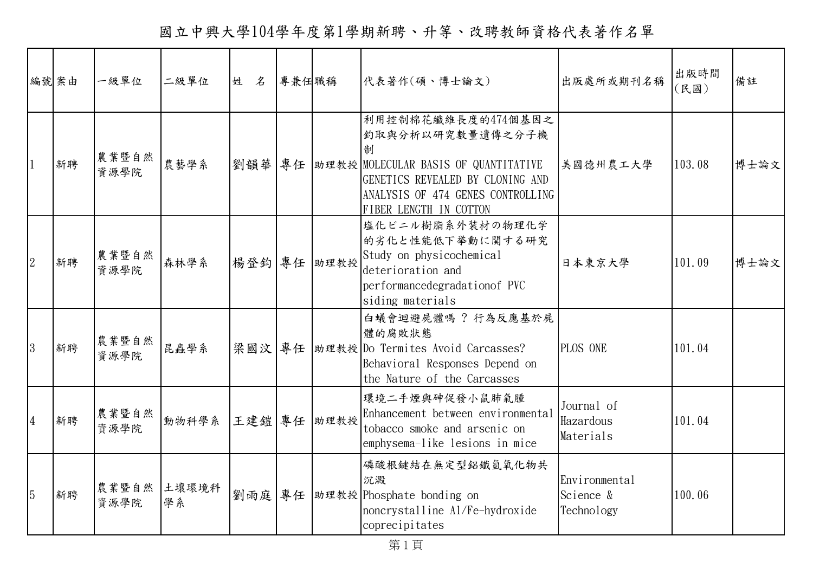國立中興大學104學年度第1學期新聘、升等、改聘教師資格代表著作名單

| 編號案由           |    | 一級單位          | 二級單位        | 姓 名 | 專兼任職稱 |             | 代表著作(碩、博士論文)                                                                                                                                                                                  | 出版處所或期刊名稱                                | 出版時間<br>(民國) | 備註   |
|----------------|----|---------------|-------------|-----|-------|-------------|-----------------------------------------------------------------------------------------------------------------------------------------------------------------------------------------------|------------------------------------------|--------------|------|
|                | 新聘 | 農業暨自然<br>資源學院 | 農藝學系        | 劉韻華 |       |             | 利用控制棉花纖維長度的474個基因之<br>釣取與分析以研究數量遺傳之分子機<br>制<br>專任   助理教授   MOLECULAR BASIS OF QUANTITATIVE<br>GENETICS REVEALED BY CLONING AND<br>ANALYSIS OF 474 GENES CONTROLLING<br>FIBER LENGTH IN COTTON | 美國德州農工大學                                 | 103.08       | 博士論文 |
| $\overline{2}$ | 新聘 | 農業暨自然<br>資源學院 | 森林學系        |     |       | 楊登鈞 專任 助理教授 | 塩化ビニル樹脂系外装材の物理化学<br>的劣化と性能低下挙動に関する研究<br>Study on physicochemical<br>deterioration and<br>performancedegradationof PVC<br>siding materials                                                     | 日本東京大學                                   | 101.09       | 博士論文 |
| 3              | 新聘 | 農業暨自然<br>資源學院 | 昆蟲學系        |     |       |             | 白蟻會迴避屍體嗎? 行為反應基於屍<br>體的腐敗狀態<br>梁國汶 專任   助理教授 Do Termites Avoid Carcasses?<br>Behavioral Responses Depend on<br>the Nature of the Carcasses                                                    | PLOS ONE                                 | 101.04       |      |
| $\overline{4}$ | 新聘 | 農業暨自然<br>資源學院 | 動物科學系       |     |       | 王建鎧 專任 助理教授 | 環境二手煙與砷促發小鼠肺氣腫<br>Enhancement between environmental<br>tobacco smoke and arsenic on<br>emphysema-like lesions in mice                                                                         | Journal of<br>Hazardous<br>Materials     | 101.04       |      |
| $\overline{5}$ | 新聘 | 農業暨自然<br>資源學院 | 土壤環境科<br>學系 | 劉雨庭 |       |             | 磷酸根鍵結在無定型鋁鐵氫氧化物共<br>沉澱<br>專任 助理教授 Phosphate bonding on<br>noncrystalline Al/Fe-hydroxide<br>coprecipitates                                                                                    | Environmental<br>Science &<br>Technology | 100.06       |      |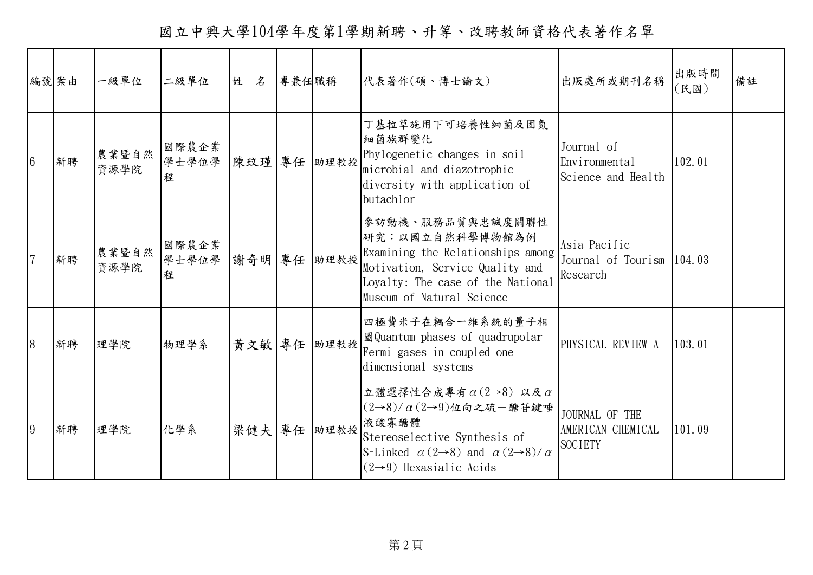國立中興大學104學年度第1學期新聘、升等、改聘教師資格代表著作名單

|                 | 編號案由 | 一級單位          | 二級單位                                  | 姓 名 | 專兼任職稱 |             | 代表著作(碩、博士論文)                                                                                                                                                                                                               | 出版處所或期刊名稱                                              | 出版時間<br>(民國) | 備註 |
|-----------------|------|---------------|---------------------------------------|-----|-------|-------------|----------------------------------------------------------------------------------------------------------------------------------------------------------------------------------------------------------------------------|--------------------------------------------------------|--------------|----|
| $6\overline{6}$ | 新聘   | 農業暨自然<br>資源學院 | 國際農企業<br>學士學位學<br>程                   |     |       | 陳玟瑾 專任 助理教授 | 丁基拉草施用下可培養性細菌及固氮<br>細菌族群變化<br>Phylogenetic changes in soil<br>microbial and diazotrophic<br>diversity with application of<br>butachlor                                                                                     | Journal of<br>Environmental<br>Science and Health      | 102.01       |    |
| $\overline{7}$  | 新聘   | 農業暨自然<br>資源學院 | 國際農企業<br>學士學位學   謝奇明   專任   助理教授<br>程 |     |       |             | 參訪動機、服務品質與忠誠度關聯性<br>研究:以國立自然科學博物館為例<br>Examining the Relationships among<br>Motivation, Service Quality and<br>Loyalty: The case of the National<br>Museum of Natural Science                                              | Asia Pacific<br>Journal of Tourism  104.03<br>Research |              |    |
| $\overline{8}$  | 新聘   | 理學院           | 物理學系                                  |     |       | 黃文敏 專任 助理教授 | 四極費米子在耦合一維系統的量子相<br>圖 Quantum phases of quadrupolar<br>Fermi gases in coupled one-<br>dimensional systems                                                                                                                  | PHYSICAL REVIEW A                                      | 103.01       |    |
| 9               | 新聘   | 理學院           | 化學系                                   |     |       | 梁健夫 專任 助理教授 | 立體選擇性合成專有 $\alpha$ (2→8) 以及 α<br>$(2\rightarrow8)/\alpha(2\rightarrow9)$ 位向之硫一醣苷鍵唾<br>液酸寡醣體<br>Stereoselective Synthesis of<br>S-Linked $\alpha$ (2-8) and $\alpha$ (2-8)/ $\alpha$<br>$(2\rightarrow 9)$ Hexasialic Acids | JOURNAL OF THE<br>AMERICAN CHEMICAL<br><b>SOCIETY</b>  | 101.09       |    |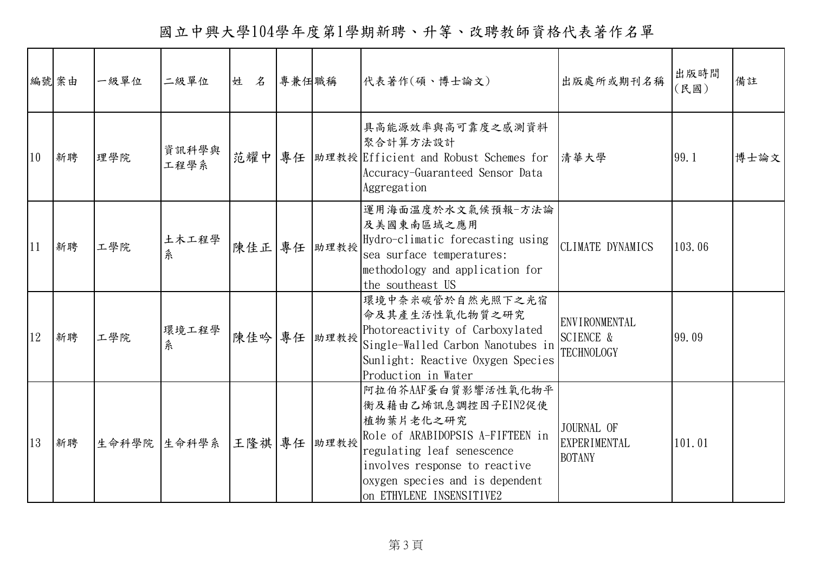國立中興大學104學年度第1學期新聘、升等、改聘教師資格代表著作名單

|    | 編號案由 | 一級單位 | 二級單位                    | 姓 名 | 專兼任職稱 |             | 代表著作(碩、博士論文)                                                                                                                                                                                                            | 出版處所或期刊名稱                                                         | 出版時間<br>(民國) | 備註   |
|----|------|------|-------------------------|-----|-------|-------------|-------------------------------------------------------------------------------------------------------------------------------------------------------------------------------------------------------------------------|-------------------------------------------------------------------|--------------|------|
| 10 | 新聘   | 理學院  | 資訊科學與<br>工程學系           |     |       |             | 具高能源效率與高可靠度之感測資料<br>聚合計算方法設計<br>范耀中 專任   助理教授 Efficient and Robust Schemes for   清華大學<br>Accuracy-Guaranteed Sensor Data<br>Aggregation                                                                                 |                                                                   | 99.1         | 博士論文 |
| 11 | 新聘   | 工學院  | 土木工程學<br>糸              |     |       | 陳佳正 專任 助理教授 | 運用海面溫度於水文氣候預報一方法論<br>及美國東南區域之應用<br>Hydro-climatic forecasting using<br>sea surface temperatures:<br>methodology and application for<br>the southeast US                                                                 | CLIMATE DYNAMICS                                                  | 103.06       |      |
| 12 | 新聘   | 工學院  | 環境工程學<br>糸              |     |       | 陳佳吟 專任 助理教授 | 環境中奈米碳管於自然光照下之光宿<br>命及其產生活性氧化物質之研究<br>Photoreactivity of Carboxylated<br>Single-Walled Carbon Nanotubes in<br>Sunlight: Reactive Oxygen Species<br>Production in Water                                                  | <b>ENVIRONMENTAL</b><br><b>SCIENCE &amp;</b><br><b>TECHNOLOGY</b> | 99.09        |      |
| 13 | 新聘   |      | 生命科學院 生命科學系 王隆祺 專任 助理教授 |     |       |             | 阿拉伯芥AAF蛋白質影響活性氧化物平<br>衡及藉由乙烯訊息調控因子EIN2促使<br>植物葉片老化之研究<br>Role of ARABIDOPSIS A-FIFTEEN in<br>regulating leaf senescence<br>involves response to reactive<br>oxygen species and is dependent<br>on ETHYLENE INSENSITIVE2 | JOURNAL OF<br><b>EXPERIMENTAL</b><br><b>BOTANY</b>                | 101.01       |      |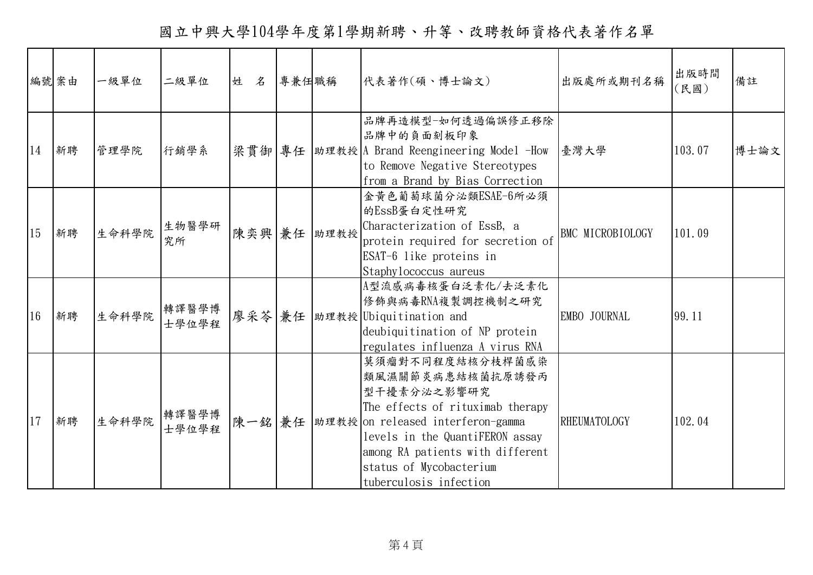國立中興大學104學年度第1學期新聘、升等、改聘教師資格代表著作名單

|    | 編號案由 | 一級單位  | 二級單位           | 姓 名    | 專兼任職稱 |             | 代表著作(碩、博士論文)                                                                                                                                                                                                                                             | 出版處所或期刊名稱           | 出版時間<br>(民國) | 備註   |
|----|------|-------|----------------|--------|-------|-------------|----------------------------------------------------------------------------------------------------------------------------------------------------------------------------------------------------------------------------------------------------------|---------------------|--------------|------|
| 14 | 新聘   | 管理學院  | 行銷學系           |        |       |             | 品牌再造模型-如何透過偏誤修正移除<br>品牌中的負面刻板印象<br> 梁貫御 專任  助理教授 A Brand Reengineering Model -How<br>to Remove Negative Stereotypes<br>from a Brand by Bias Correction                                                                                                   | 臺灣大學                | 103.07       | 博士論文 |
| 15 | 新聘   | 生命科學院 | 生物醫學研<br>究所    |        |       | 陳奕興 兼任 助理教授 | 金黄色葡萄球菌分泌類ESAE-6所必須<br>的EssB蛋白定性研究<br>Characterization of EssB, a<br>protein required for secretion of<br>ESAT-6 like proteins in<br>Staphy lococcus aureus                                                                                              | BMC MICROBIOLOGY    | 101.09       |      |
| 16 | 新聘   | 生命科學院 | 轉譯醫學博<br>士學位學程 | 廖采苓 兼任 |       |             | A型流感病毒核蛋白泛素化/去泛素化<br>修飾與病毒RNA複製調控機制之研究<br>助理教授 Ubiquitination and<br>deubiquitination of NP protein<br>regulates influenza A virus RNA                                                                                                                   | EMBO JOURNAL        | 99.11        |      |
| 17 | 新聘   | 生命科學院 | 轉譯醫學博<br>士學位學程 | 陳一銘 兼任 |       |             | 莫須瘤對不同程度結核分枝桿菌感染<br>類風濕關節炎病患結核菌抗原誘發丙<br>型干擾素分泌之影響研究<br>The effects of rituximab therapy<br>助理教授 on released interferon-gamma<br>levels in the QuantiFERON assay<br>among RA patients with different<br>status of Mycobacterium<br>tuberculosis infection | <b>RHEUMATOLOGY</b> | 102.04       |      |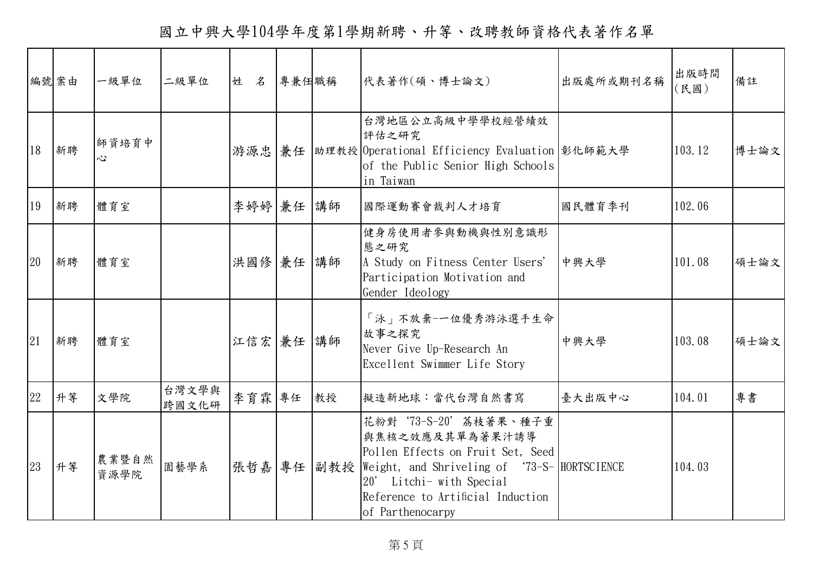國立中興大學104學年度第1學期新聘、升等、改聘教師資格代表著作名單

|    | 編號案由 | 一級單位          | 二級單位           | 姓 名       | 專兼任職稱 |    | 代表著作(碩、博士論文)                                                                                                                                                                                                                     | 出版處所或期刊名稱 | 出版時間<br>(民國) | 備註   |
|----|------|---------------|----------------|-----------|-------|----|----------------------------------------------------------------------------------------------------------------------------------------------------------------------------------------------------------------------------------|-----------|--------------|------|
| 18 | 新聘   | 師資培育中<br>心    |                | 游源忠       |       |    | 台灣地區公立高級中學學校經營績效<br>評估之研究<br> 兼任  助理教授 Operational Efficiency Evaluation 彰化師範大學<br>of the Public Senior High Schools<br>in Taiwan                                                                                                |           | 103.12       | 博士論文 |
| 19 | 新聘   | 體育室           |                | 李婷婷 兼任 講師 |       |    | 國際運動賽會裁判人才培育                                                                                                                                                                                                                     | 國民體育季刊    | 102.06       |      |
| 20 | 新聘   | 體育室           |                | 洪國修 兼任 講師 |       |    | 健身房使用者參與動機與性別意識形<br>態之研究<br>A Study on Fitness Center Users'<br>Participation Motivation and<br>Gender Ideology                                                                                                                  | 中興大學      | 101.08       | 碩士論文 |
| 21 | 新聘   | 體育室           |                | 江信宏 兼任 講師 |       |    | 「泳」不放棄-一位優秀游泳選手生命<br>故事之探究<br>Never Give Up-Research An<br>Excellent Swimmer Life Story                                                                                                                                          | 中興大學      | 103.08       | 碩士論文 |
| 22 | 升等   | 文學院           | 台灣文學與<br>跨國文化研 | 李育霖專任     |       | 教授 | 擬造新地球:當代台灣自然書寫                                                                                                                                                                                                                   | 臺大出版中心    | 104.01       | 專書   |
| 23 | 升等   | 農業暨自然<br>資源學院 | 園藝學系           |           |       |    | 花粉對'73-S-20'荔枝著果、種子重<br>與焦核之效應及其單為著果汁誘導<br>Pollen Effects on Fruit Set, Seed<br> 張哲嘉 專任  副教授  Weight, and Shriveling of '73-S-  HORTSCIENCE<br>20' Litchi- with Special<br>Reference to Artificial Induction<br>of Parthenocarpy |           | 104.03       |      |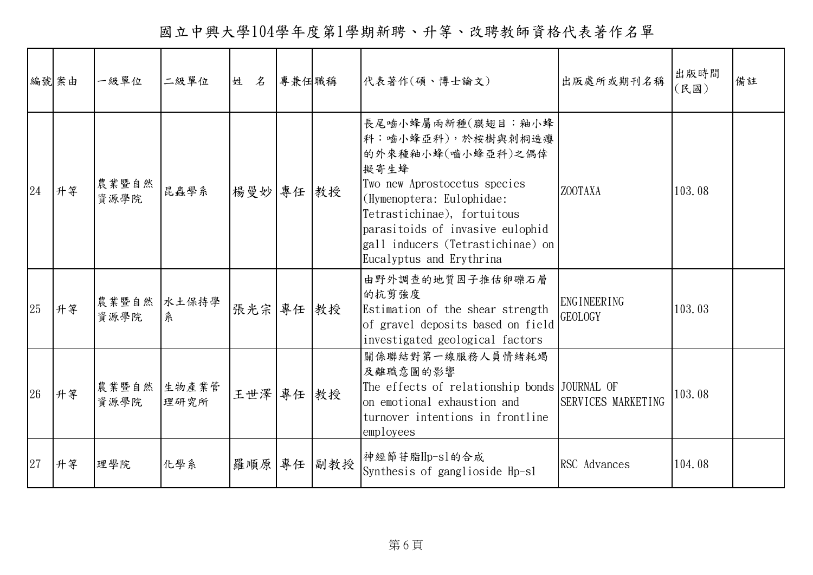國立中興大學104學年度第1學期新聘、升等、改聘教師資格代表著作名單

|    | 編號案由 | 一級單位          | 二級單位          | 姓 名    | 專兼任職稱 |     | 代表著作(碩、博士論文)                                                                                                                                                                                                                                                         | 出版處所或期刊名稱                            | 出版時間<br>(民國) | 備註 |
|----|------|---------------|---------------|--------|-------|-----|----------------------------------------------------------------------------------------------------------------------------------------------------------------------------------------------------------------------------------------------------------------------|--------------------------------------|--------------|----|
| 24 | 升等   | 農業暨自然<br>資源學院 | 昆蟲學系          | 楊曼妙 專任 |       | 教授  | 長尾嚙小蜂屬兩新種(膜翅目:釉小蜂<br>科:嚙小蜂亞科),於桉樹與刺桐造癭<br>的外來種釉小蜂(嚙小蜂亞科)之偶倖<br>擬寄生蜂<br>Two new Aprostocetus species<br>(Hymenoptera: Eulophidae:<br>Tetrastichinae), fortuitous<br>parasitoids of invasive eulophid<br>gall inducers (Tetrastichinae) on<br>Eucalyptus and Erythrina | <b>ZOOTAXA</b>                       | 103.08       |    |
| 25 | 升等   | 農業暨自然<br>資源學院 | 水土保持學<br>糸    | 張光宗 專任 |       | 教授  | 由野外調查的地質因子推估卵礫石層<br>的抗剪強度<br>Estimation of the shear strength<br>of gravel deposits based on field<br>investigated geological factors                                                                                                                                | <b>ENGINEERING</b><br><b>GEOLOGY</b> | 103.03       |    |
| 26 | 升等   | 農業暨自然<br>資源學院 | 生物產業管<br>理研究所 | 王世澤 專任 |       | 教授  | 關係聯結對第一線服務人員情緒耗竭<br>及離職意圖的影響<br>The effects of relationship bonds JOURNAL OF<br>on emotional exhaustion and<br>turnover intentions in frontline<br>employees                                                                                                         | SERVICES MARKETING                   | 103.08       |    |
| 27 | 升等   | 理學院           | 化學系           | 羅順原    | 專任    | 副教授 | 神經節苷脂Hp-sl的合成<br>Synthesis of ganglioside Hp-sl                                                                                                                                                                                                                      | RSC Advances                         | 104.08       |    |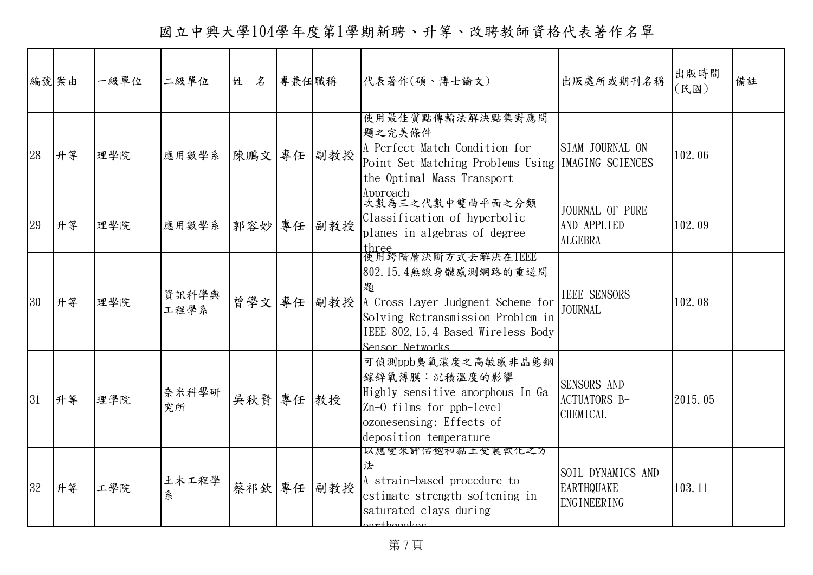國立中興大學104學年度第1學期新聘、升等、改聘教師資格代表著作名單

|    | 編號案由 | 一級單位 | 二級單位          | 姓 名    | 專兼任職稱 |     | 代表著作(碩、博士論文)                                                                                                                                                                                    | 出版處所或期刊名稱                                                    | 出版時間<br>(民國) | 備註 |
|----|------|------|---------------|--------|-------|-----|-------------------------------------------------------------------------------------------------------------------------------------------------------------------------------------------------|--------------------------------------------------------------|--------------|----|
| 28 | 升等   | 理學院  | 應用數學系         | 陳鵬文 專任 |       | 副教授 | 使用最佳質點傳輸法解決點集對應問<br>題之完美條件<br>A Perfect Match Condition for<br>Point-Set Matching Problems Using   IMAGING SCIENCES<br>the Optimal Mass Transport<br>Approach                                   | SIAM JOURNAL ON                                              | 102.06       |    |
| 29 | 升等   | 理學院  | 應用數學系 郭容妙 專任  |        |       | 副教授 | 次數為三之代數中雙曲平面之分類<br>Classification of hyperbolic<br>planes in algebras of degree                                                                                                                 | JOURNAL OF PURE<br>AND APPLIED<br><b>ALGEBRA</b>             | 102.09       |    |
| 30 | 升等   | 理學院  | 資訊科學與<br>工程學系 | 曾學文 專任 |       |     | three<br> 使用跨階層決斷方式去解決在IEEE<br>802.15.4無線身體感測網路的重送問<br>題<br>副教授  A Cross-Layer Judgment Scheme for<br>Solving Retransmission Problem in<br>IEEE 802.15.4-Based Wireless Body<br>Sensor Networks | <b>IEEE SENSORS</b><br><b>JOURNAL</b>                        | 102.08       |    |
| 31 | 升等   | 理學院  | 奈米科學研<br>究所   | 吳秋賢 專任 |       | 教授  | 可偵測ppb臭氧濃度之高敏感非晶態銦<br>鎵鋅氧薄膜:沉積溫度的影響<br>Highly sensitive amorphous In-Ga-<br>Zn-O films for ppb-level<br>ozonesensing: Effects of<br>deposition temperature                                      | SENSORS AND<br><b>ACTUATORS B-</b><br><b>CHEMICAL</b>        | 2015.05      |    |
| 32 | 升等   | 工學院  | 土木工程學<br>糸    | 蔡祁欽 專任 |       | 副教授 | 以應變米評估飽和黏土受農軟化之万<br>法<br>A strain-based procedure to<br>estimate strength softening in<br>saturated clays during<br>arthaugkaa                                                                  | SOIL DYNAMICS AND<br><b>EARTHQUAKE</b><br><b>ENGINEERING</b> | 103.11       |    |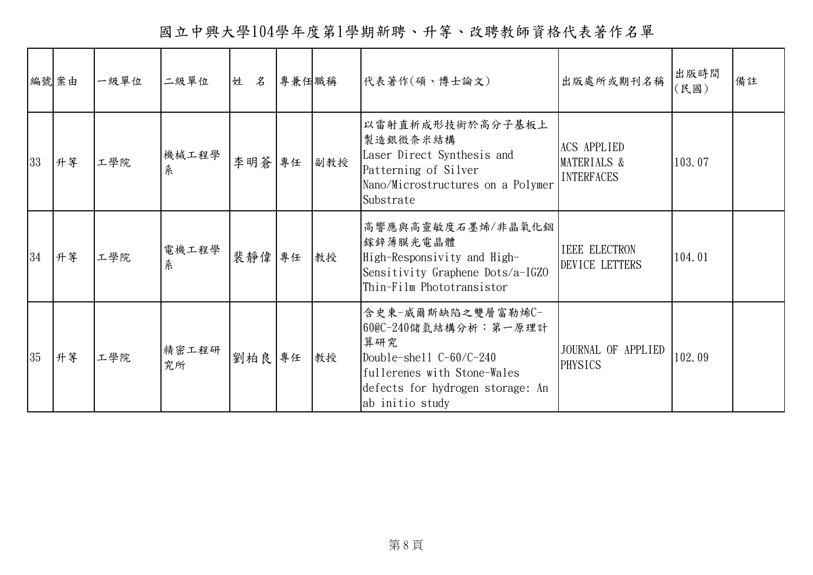國立中興大學104學年度第1學期新聘、升等、改聘教師資格代表著作名單

|    | 編號案由 | 一級單位 | 二級單位        | 姓 名   | 專兼任職稱 |     | 代表著作(碩、博士論文)                                                                                                                                                        | 出版處所或期刊名稱                                              | 出版時間<br>〔民國〕 | 備註 |
|----|------|------|-------------|-------|-------|-----|---------------------------------------------------------------------------------------------------------------------------------------------------------------------|--------------------------------------------------------|--------------|----|
| 33 | 升等   | 工學院  | 機械工程學<br>糸  | 李明蒼   | 專任    | 副教授 | 以雷射直析成形技術於高分子基板上<br>製造銀微奈米結構<br>Laser Direct Synthesis and<br>Patterning of Silver<br>Nano/Microstructures on a Polymer<br>Substrate                                | <b>ACS APPLIED</b><br>MATERIALS &<br><b>INTERFACES</b> | 103.07       |    |
| 34 | 升等   | 工學院  | 電機工程學<br>系  | 裴靜偉   | 專任    | 教授  | 高響應與高靈敏度石墨烯/非晶氧化銦<br>鎵鋅薄膜光電晶體<br>High-Responsivity and High-<br>Sensitivity Graphene Dots/a-IGZ0<br>Thin-Film Phototransistor                                       | <b>IEEE ELECTRON</b><br>DEVICE LETTERS                 | 104.01       |    |
| 35 | 升等   | 工學院  | 精密工程研<br>究所 | 劉柏良專任 |       | 教授  | 含史東-威爾斯缺陷之雙層富勒烯C-<br>60@C-240儲氫結構分析:第一原理計<br>算研究<br>Double-shell $C-60/C-240$<br>fullerenes with Stone-Wales<br>defects for hydrogen storage: An<br>ab initio study | JOURNAL OF APPLIED<br><b>PHYSICS</b>                   | 102.09       |    |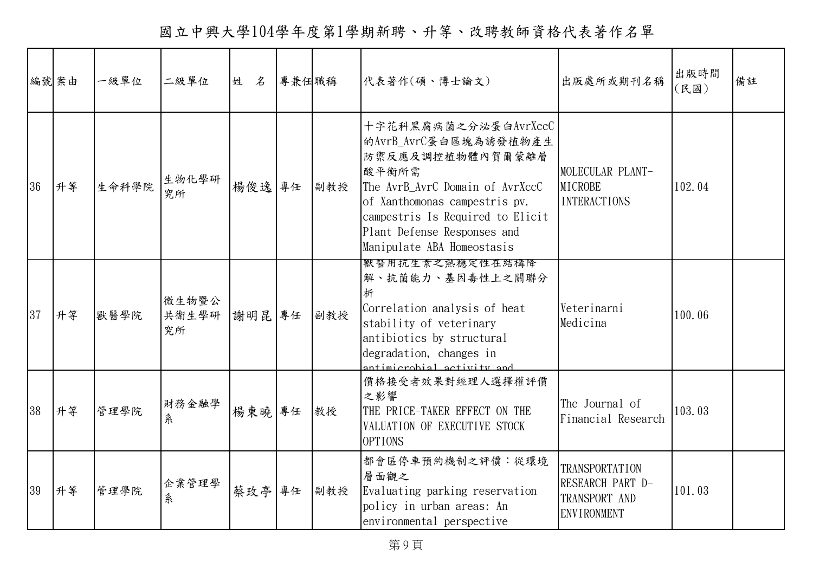國立中興大學104學年度第1學期新聘、升等、改聘教師資格代表著作名單

|    | 編號案由 | 一級單位  | 二級單位                 | 姓 名    | 專兼任職稱 |     | 代表著作(碩、博士論文)                                                                                                                                                                                                                                    | 出版處所或期刊名稱                                                                        | 出版時間<br>(民國) | 備註 |
|----|------|-------|----------------------|--------|-------|-----|-------------------------------------------------------------------------------------------------------------------------------------------------------------------------------------------------------------------------------------------------|----------------------------------------------------------------------------------|--------------|----|
| 36 | 升等   | 生命科學院 | 生物化學研<br>究所          | 楊俊逸    | 專任    | 副教授 | 十字花科黑腐病菌之分泌蛋白AvrXccC<br>的AvrB_AvrC蛋白區塊為誘發植物產生<br>防禦反應及調控植物體內賀爾蒙離層<br>酸平衡所需<br>The AvrB AvrC Domain of AvrXccC<br>of Xanthomonas campestris pv.<br>campestris Is Required to Elicit<br>Plant Defense Responses and<br>Manipulate ABA Homeostasis | MOLECULAR PLANT-<br><b>MICROBE</b><br><b>INTERACTIONS</b>                        | 102.04       |    |
| 37 | 升等   | 獸醫學院  | 微生物暨公<br>共衛生學研<br>究所 | 謝明昆    | 專任    | 副教授 | 獸醫用抗生素之熱穩足性在結構降<br>解、抗菌能力、基因毒性上之關聯分<br>析<br>Correlation analysis of heat<br>stability of veterinary<br>antibiotics by structural<br>degradation, changes in<br>ntimicrobial activity and                                                        | Veterinarni<br>Medicina                                                          | 100.06       |    |
| 38 | 升等   | 管理學院  | 財務金融學<br>糸           | 楊東曉 專任 |       | 教授  | 價格接受者效果對經理人選擇權評價<br>之影響<br>THE PRICE-TAKER EFFECT ON THE<br>VALUATION OF EXECUTIVE STOCK<br><b>OPTIONS</b>                                                                                                                                      | The Journal of<br>Financial Research                                             | 103.03       |    |
| 39 | 升等   | 管理學院  | 企業管理學<br>糸           | 蔡玫亭    | 專任    | 副教授 | 都會區停車預約機制之評價:從環境<br>層面觀之<br>Evaluating parking reservation<br>policy in urban areas: An<br>environmental perspective                                                                                                                            | <b>TRANSPORTATION</b><br>RESEARCH PART D-<br>TRANSPORT AND<br><b>ENVIRONMENT</b> | 101.03       |    |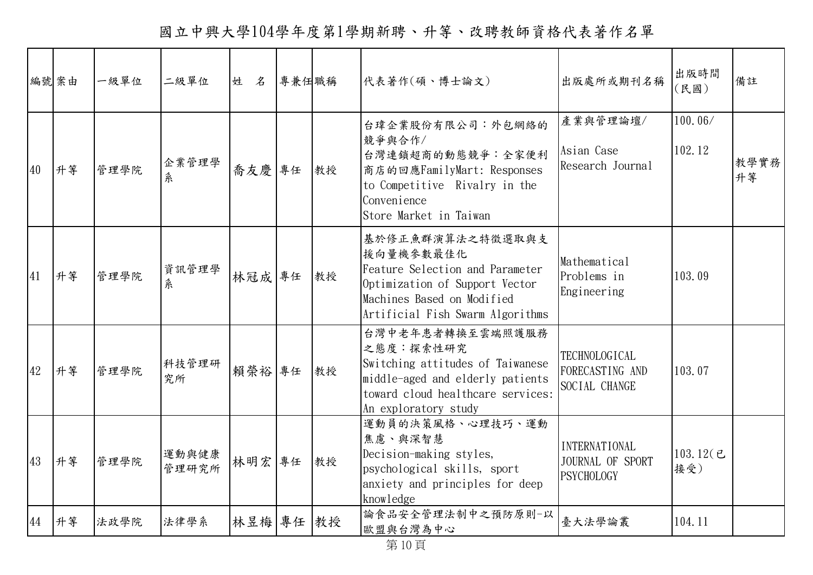國立中興大學104學年度第1學期新聘、升等、改聘教師資格代表著作名單

|    | 編號案由 | 一級單位 | 二級單位           | 姓 名    | 專兼任職稱 |    | 代表著作(碩、博士論文)                                                                                                                                                         | 出版處所或期刊名稱                                                     | 出版時間<br>(民國)      | 備註         |
|----|------|------|----------------|--------|-------|----|----------------------------------------------------------------------------------------------------------------------------------------------------------------------|---------------------------------------------------------------|-------------------|------------|
| 40 | 升等   | 管理學院 | 企業管理學<br>糸     | 喬友慶 專任 |       | 教授 | 台瑋企業股份有限公司:外包網絡的<br>競爭與合作/<br>台灣連鎖超商的動態競爭:全家便利<br>商店的回應FamilyMart: Responses<br>to Competitive Rivalry in the<br>Convenience<br>Store Market in Taiwan               | 產業與管理論壇/<br>Asian Case<br>Research Journal                    | 100.06/<br>102.12 | 教學實務<br>升等 |
| 41 | 升等   | 管理學院 | 資訊管理學<br>糸     | 林冠成 專任 |       | 教授 | 基於修正魚群演算法之特徵選取與支<br>援向量機參數最佳化<br>Feature Selection and Parameter<br>Optimization of Support Vector<br>Machines Based on Modified<br>Artificial Fish Swarm Algorithms | Mathematical<br>Problems in<br>Engineering                    | 103.09            |            |
| 42 | 升等   | 管理學院 | 科技管理研<br>究所    | 賴榮裕 專任 |       | 教授 | 台灣中老年患者轉換至雲端照護服務<br>之態度:探索性研究<br>Switching attitudes of Taiwanese<br>middle-aged and elderly patients<br>toward cloud healthcare services:<br>An exploratory study   | <b>TECHNOLOGICAL</b><br>FORECASTING AND<br>SOCIAL CHANGE      | 103.07            |            |
| 43 | 升等   | 管理學院 | 運動與健康<br>管理研究所 | 林明宏 專任 |       | 教授 | 運動員的決策風格、心理技巧、運動<br>焦慮、與深智慧<br>Decision-making styles,<br>psychological skills, sport<br>anxiety and principles for deep<br>knowledge                                | <b>INTERNATIONAL</b><br>JOURNAL OF SPORT<br><b>PSYCHOLOGY</b> | 103.12(己<br>接受)   |            |
| 44 | 升等   | 法政學院 | 法律學系           | 林昱梅 專任 |       | 教授 | 論食品安全管理法制中之預防原則-以<br>歐盟與台灣為中心                                                                                                                                        | 臺大法學論叢                                                        | 104.11            |            |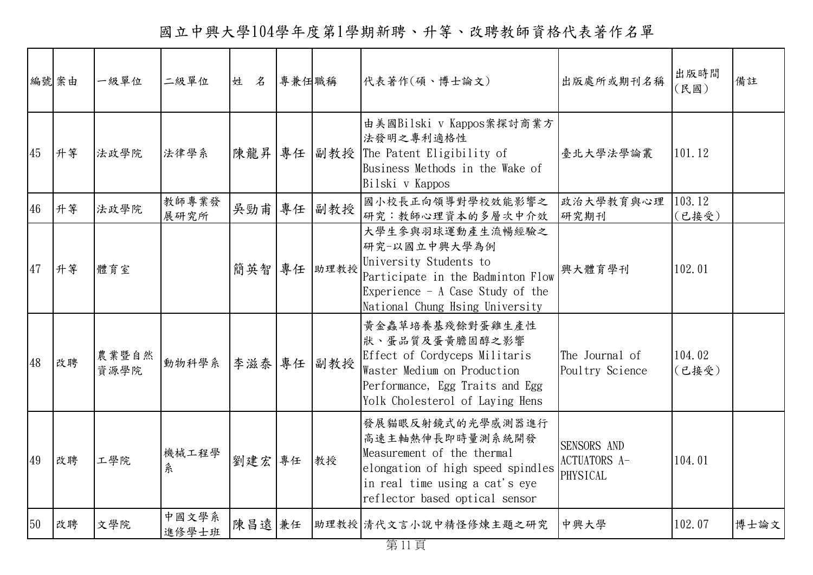國立中興大學104學年度第1學期新聘、升等、改聘教師資格代表著作名單

|    | 編號案由 | 一級單位          | 二級單位             | 姓 名    | 專兼任職稱 |             | 代表著作(碩、博士論文)                                                                                                                                                               | 出版處所或期刊名稱                                      | 出版時間<br>(民國)    | 備註   |
|----|------|---------------|------------------|--------|-------|-------------|----------------------------------------------------------------------------------------------------------------------------------------------------------------------------|------------------------------------------------|-----------------|------|
| 45 | 升等   | 法政學院          | 法律學系             |        |       |             | 由美國Bilski v Kappos案探討商業方<br>法發明之專利適格性<br> 陳龍昇  專任   副教授   The Patent Eligibility of<br>Business Methods in the Wake of<br>Bilski v Kappos                                  | 臺北大學法學論叢                                       | 101.12          |      |
| 46 | 升等   | 法政學院          | 教師專業發<br>展研究所    | 吳勁甫 專任 |       | 副教授         | 國小校長正向領導對學校效能影響之<br>研究:教師心理資本的多層次中介效                                                                                                                                       | 政治大學教育與心理<br>研究期刊                              | 103.12<br>(已接受) |      |
| 47 | 升等   | 體育室           |                  |        |       | 簡英智 專任 助理教授 | 大學生參與羽球運動產生流暢經驗之<br>研究-以國立中興大學為例<br>University Students to<br>Participate in the Badminton Flow<br>Experience $-$ A Case Study of the<br>National Chung Hsing University   | 興大體育學刊                                         | 102.01          |      |
| 48 | 改聘   | 農業暨自然<br>資源學院 | 動物科學系 李滋泰 專任 副教授 |        |       |             | 黄金蟲草培養基殘餘對蛋雞生產性<br>狀、蛋品質及蛋黃膽固醇之影響<br>Effect of Cordyceps Militaris<br>Waster Medium on Production<br>Performance, Egg Traits and Egg<br>Yolk Cholesterol of Laying Hens    | The Journal of<br>Poultry Science              | 104.02<br>(已接受) |      |
| 49 | 改聘   | 工學院           | 機械工程學<br>糸       | 劉建宏 專任 |       | 教授          | 發展貓眼反射鏡式的光學感測器進行<br>高速主軸熱伸長即時量測系統開發<br>Measurement of the thermal<br>elongation of high speed spindles<br>in real time using a cat's eye<br>reflector based optical sensor | SENSORS AND<br><b>ACTUATORS A-</b><br>PHYSICAL | 104.01          |      |
| 50 | 改聘   | 文學院           | 中國文學系<br>進修學士班   | 陳昌遠兼任  |       |             | 助理教授 清代文言小說中精怪修煉主題之研究                                                                                                                                                      | 中興大學                                           | 102.07          | 博士論文 |